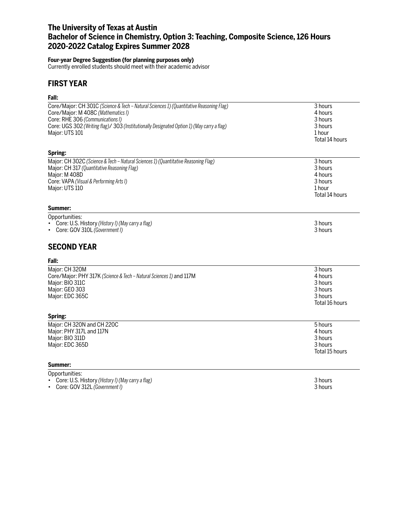### **The University of Texas at Austin Bachelor of Science in Chemistry, Option 3: Teaching, Composite Science, 126 Hours 2020-2022 Catalog Expires Summer 2028**

#### **Four-year Degree Suggestion (for planning purposes only)**

Currently enrolled students should meet with their academic advisor

### **FIRST YEAR**

### **Fall:**

| Core/Major: CH 301C (Science & Tech - Natural Sciences 1) (Quantitative Reasoning Flag)<br>Core/Major: M 408C (Mathematics I)<br>Core: RHE 306 (Communications I)<br>Core: UGS 302 (Writing flag)/ 303 (Institutionally Designated Option 1) (May carry a flag)<br>Major: UTS 101 | 3 hours<br>4 hours<br>3 hours<br>3 hours<br>1 hour<br>Total 14 hours  |
|-----------------------------------------------------------------------------------------------------------------------------------------------------------------------------------------------------------------------------------------------------------------------------------|-----------------------------------------------------------------------|
| Spring:                                                                                                                                                                                                                                                                           |                                                                       |
| Major: CH 302C (Science & Tech - Natural Sciences 1) (Quantitative Reasoning Flag)<br>Major: CH 317 (Quantitative Reasoning Flag)<br>Major: M 408D<br>Core: VAPA (Visual & Performing Arts I)<br>Major: UTS 110                                                                   | 3 hours<br>3 hours<br>4 hours<br>3 hours<br>1 hour<br>Total 14 hours  |
| Summer:                                                                                                                                                                                                                                                                           |                                                                       |
| Opportunities:<br>Core: U.S. History (History I) (May carry a flag)<br>Core: GOV 310L (Government I)<br><b>SECOND YEAR</b>                                                                                                                                                        | 3 hours<br>3 hours                                                    |
| Fall:                                                                                                                                                                                                                                                                             |                                                                       |
| Major: CH 320M<br>Core/Major: PHY 317K (Science & Tech - Natural Sciences 1) and 117M<br>Major: BIO 311C<br>Major: GEO 303<br>Major: EDC 365C<br>Spring:                                                                                                                          | 3 hours<br>4 hours<br>3 hours<br>3 hours<br>3 hours<br>Total 16 hours |
| Major: CH 320N and CH 220C<br>Major: PHY 317L and 117N<br>Major: BIO 311D<br>Major: EDC 365D                                                                                                                                                                                      | 5 hours<br>4 hours<br>3 hours<br>3 hours<br>Total 15 hours            |
| Summer:                                                                                                                                                                                                                                                                           |                                                                       |
| Opportunities:<br>Core: U.S. History (History I) (May carry a flag)<br>$\bullet$<br>Core: GOV 312L (Government I)<br>٠                                                                                                                                                            | 3 hours<br>3 hours                                                    |